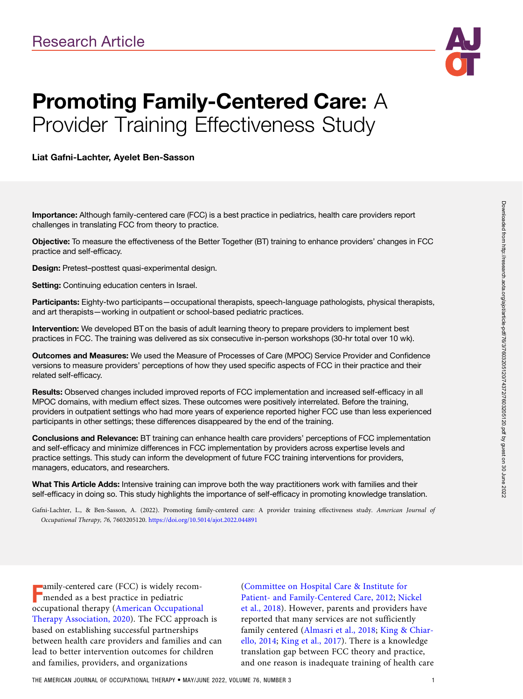

# Promoting Family-Centered Care: A Provider Training Effectiveness Study

Liat Gafni-Lachter, Ayelet Ben-Sasson

Importance: Although family-centered care (FCC) is a best practice in pediatrics, health care providers report challenges in translating FCC from theory to practice.

Objective: To measure the effectiveness of the Better Together (BT) training to enhance providers' changes in FCC practice and self-efficacy.

Design: Pretest–posttest quasi-experimental design.

Setting: Continuing education centers in Israel.

Participants: Eighty-two participants—occupational therapists, speech-language pathologists, physical therapists, and art therapists—working in outpatient or school-based pediatric practices.

Intervention: We developed BT on the basis of adult learning theory to prepare providers to implement best practices in FCC. The training was delivered as six consecutive in-person workshops (30-hr total over 10 wk).

Outcomes and Measures: We used the Measure of Processes of Care (MPOC) Service Provider and Confidence versions to measure providers' perceptions of how they used specific aspects of FCC in their practice and their related self-efficacy.

Results: Observed changes included improved reports of FCC implementation and increased self-efficacy in all MPOC domains, with medium effect sizes. These outcomes were positively interrelated. Before the training, providers in outpatient settings who had more years of experience reported higher FCC use than less experienced participants in other settings; these differences disappeared by the end of the training.

Conclusions and Relevance: BT training can enhance health care providers' perceptions of FCC implementation and self-efficacy and minimize differences in FCC implementation by providers across expertise levels and practice settings. This study can inform the development of future FCC training interventions for providers, managers, educators, and researchers.

What This Article Adds: Intensive training can improve both the way practitioners work with families and their self-efficacy in doing so. This study highlights the importance of self-efficacy in promoting knowledge translation.

Gafni-Lachter, L., & Ben-Sasson, A. (2022). Promoting family-centered care: A provider training effectiveness study. American Journal of Occupational Therapy, 76, 7603205120. <https://doi.org/10.5014/ajot.2022.044891>

**F** amily-centered care (FCC) is widely remended as a best practice in pediatric<br>mended as a best practice in pediatric amily-centered care (FCC) is widely recomoccupational therapy ([American Occupational](#page-6-0) [Therapy Association, 2020\)](#page-6-0). The FCC approach is based on establishing successful partnerships between health care providers and families and can lead to better intervention outcomes for children and families, providers, and organizations

[\(Committee on Hospital Care & Institute for](#page-6-0) [Patient- and Family-Centered Care, 2012;](#page-6-0) [Nickel](#page-7-0) [et al., 2018](#page-7-0)). However, parents and providers have reported that many services are not sufficiently family centered ([Almasri et al., 2018](#page-6-0); [King & Chiar](#page-6-0)[ello, 2014](#page-6-0); [King et al., 2017\)](#page-7-0). There is a knowledge translation gap between FCC theory and practice, and one reason is inadequate training of health care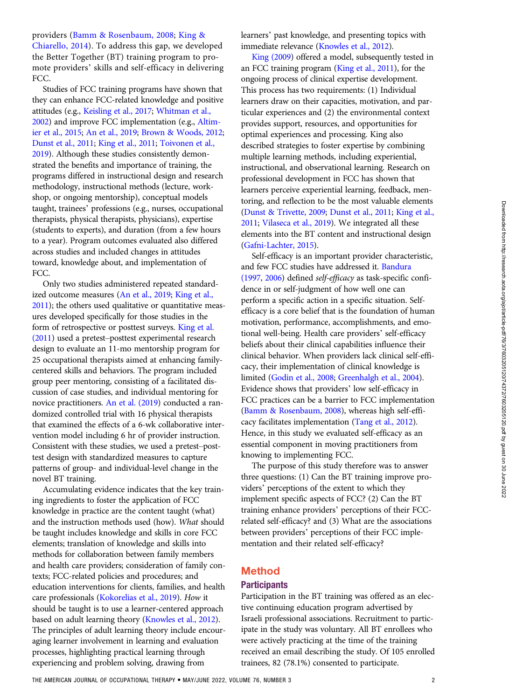providers [\(Bamm & Rosenbaum, 2008](#page-6-0); [King &](#page-6-0) [Chiarello, 2014\)](#page-6-0). To address this gap, we developed the Better Together (BT) training program to promote providers' skills and self-efficacy in delivering FCC.

Studies of FCC training programs have shown that they can enhance FCC-related knowledge and positive attitudes (e.g., [Keisling et al., 2017;](#page-6-0) [Whitman et al.,](#page-7-0) [2002](#page-7-0)) and improve FCC implementation (e.g., [Altim](#page-6-0)[ier et al., 2015](#page-6-0); [An et al., 2019](#page-6-0); [Brown & Woods, 2012;](#page-6-0) [Dunst et al., 2011;](#page-6-0) [King et al., 2011;](#page-7-0) [Toivonen et al.,](#page-7-0) [2019](#page-7-0)). Although these studies consistently demonstrated the benefits and importance of training, the programs differed in instructional design and research methodology, instructional methods (lecture, workshop, or ongoing mentorship), conceptual models taught, trainees' professions (e.g., nurses, occupational therapists, physical therapists, physicians), expertise (students to experts), and duration (from a few hours to a year). Program outcomes evaluated also differed across studies and included changes in attitudes toward, knowledge about, and implementation of FCC.

Only two studies administered repeated standardized outcome measures ([An et al., 2019;](#page-6-0) [King et al.,](#page-7-0) [2011](#page-7-0)); the others used qualitative or quantitative measures developed specifically for those studies in the form of retrospective or posttest surveys. [King et al.](#page-7-0) [\(2011\)](#page-7-0) used a pretest–posttest experimental research design to evaluate an 11-mo mentorship program for 25 occupational therapists aimed at enhancing familycentered skills and behaviors. The program included group peer mentoring, consisting of a facilitated discussion of case studies, and individual mentoring for novice practitioners. [An et al. \(2019](#page-6-0)) conducted a randomized controlled trial with 16 physical therapists that examined the effects of a 6-wk collaborative intervention model including 6 hr of provider instruction. Consistent with these studies, we used a pretest–posttest design with standardized measures to capture patterns of group- and individual-level change in the novel BT training.

Accumulating evidence indicates that the key training ingredients to foster the application of FCC knowledge in practice are the content taught (what) and the instruction methods used (how). What should be taught includes knowledge and skills in core FCC elements; translation of knowledge and skills into methods for collaboration between family members and health care providers; consideration of family contexts; FCC-related policies and procedures; and education interventions for clients, families, and health care professionals [\(Kokorelias et al., 2019\)](#page-7-0). How it should be taught is to use a learner-centered approach based on adult learning theory [\(Knowles et al., 2012\)](#page-7-0). The principles of adult learning theory include encouraging learner involvement in learning and evaluation processes, highlighting practical learning through experiencing and problem solving, drawing from

learners' past knowledge, and presenting topics with immediate relevance [\(Knowles et al., 2012\)](#page-7-0).

[King \(2009](#page-6-0)) offered a model, subsequently tested in an FCC training program ([King et al., 2011\)](#page-7-0), for the ongoing process of clinical expertise development. This process has two requirements: (1) Individual learners draw on their capacities, motivation, and particular experiences and (2) the environmental context provides support, resources, and opportunities for optimal experiences and processing. King also described strategies to foster expertise by combining multiple learning methods, including experiential, instructional, and observational learning. Research on professional development in FCC has shown that learners perceive experiential learning, feedback, mentoring, and reflection to be the most valuable elements [\(Dunst & Trivette, 2009;](#page-6-0) [Dunst et al., 2011;](#page-6-0) [King et al.,](#page-7-0) [2011](#page-7-0); [Vilaseca et al., 2019\)](#page-7-0). We integrated all these elements into the BT content and instructional design [\(Gafni-Lachter, 2015\)](#page-6-0).

Self-efficacy is an important provider characteristic, and few FCC studies have addressed it. [Bandura](#page-6-0) [\(1997](#page-6-0), [2006\)](#page-6-0) defined self-efficacy as task-specific confidence in or self-judgment of how well one can perform a specific action in a specific situation. Selfefficacy is a core belief that is the foundation of human motivation, performance, accomplishments, and emotional well-being. Health care providers' self-efficacy beliefs about their clinical capabilities influence their clinical behavior. When providers lack clinical self-efficacy, their implementation of clinical knowledge is limited [\(Godin et al., 2008](#page-6-0); [Greenhalgh et al., 2004\)](#page-6-0). Evidence shows that providers' low self-efficacy in FCC practices can be a barrier to FCC implementation [\(Bamm & Rosenbaum, 2008](#page-6-0)), whereas high self-efficacy facilitates implementation ([Tang et al., 2012\)](#page-7-0). Hence, in this study we evaluated self-efficacy as an essential component in moving practitioners from knowing to implementing FCC.

The purpose of this study therefore was to answer three questions: (1) Can the BT training improve providers' perceptions of the extent to which they implement specific aspects of FCC? (2) Can the BT training enhance providers' perceptions of their FCCrelated self-efficacy? and (3) What are the associations between providers' perceptions of their FCC implementation and their related self-efficacy?

## Method

#### **Participants**

Participation in the BT training was offered as an elective continuing education program advertised by Israeli professional associations. Recruitment to participate in the study was voluntary. All BT enrollees who were actively practicing at the time of the training received an email describing the study. Of 105 enrolled trainees, 82 (78.1%) consented to participate.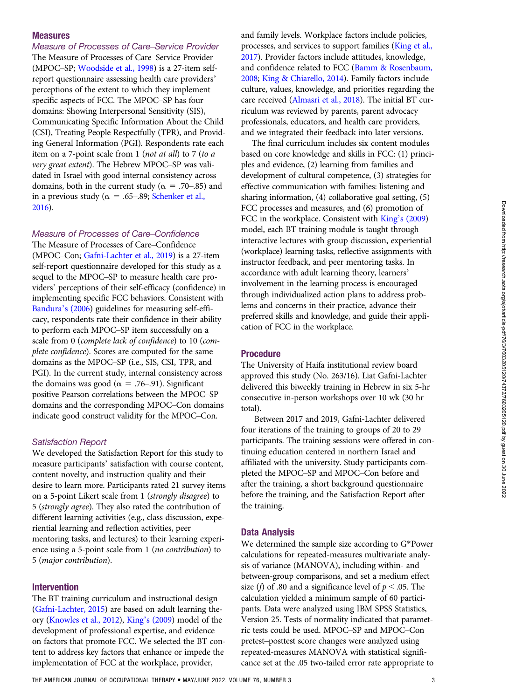#### Measures

Measure of Processes of Care–Service Provider The Measure of Processes of Care–Service Provider (MPOC–SP; [Woodside et al., 1998\)](#page-7-0) is a 27-item selfreport questionnaire assessing health care providers' perceptions of the extent to which they implement specific aspects of FCC. The MPOC–SP has four domains: Showing Interpersonal Sensitivity (SIS), Communicating Specific Information About the Child (CSI), Treating People Respectfully (TPR), and Providing General Information (PGI). Respondents rate each item on a 7-point scale from 1 (not at all) to 7 (to a very great extent). The Hebrew MPOC–SP was validated in Israel with good internal consistency across domains, both in the current study ( $\alpha$  = .70–.85) and in a previous study ( $\alpha = .65-.89$ ; [Schenker et al.,](#page-7-0) [2016](#page-7-0)).

Measure of Processes of Care–Confidence The Measure of Processes of Care–Confidence

(MPOC–Con; [Gafni-Lachter et al., 2019](#page-6-0)) is a 27-item self-report questionnaire developed for this study as a sequel to the MPOC–SP to measure health care providers' perceptions of their self-efficacy (confidence) in implementing specific FCC behaviors. Consistent with [Bandura](#page-6-0)'s (2006) guidelines for measuring self-efficacy, respondents rate their confidence in their ability to perform each MPOC–SP item successfully on a scale from 0 (complete lack of confidence) to 10 (complete confidence). Scores are computed for the same domains as the MPOC–SP (i.e., SIS, CSI, TPR, and PGI). In the current study, internal consistency across the domains was good ( $\alpha = .76$ –.91). Significant positive Pearson correlations between the MPOC–SP domains and the corresponding MPOC–Con domains indicate good construct validity for the MPOC–Con.

#### Satisfaction Report

We developed the Satisfaction Report for this study to measure participants' satisfaction with course content, content novelty, and instruction quality and their desire to learn more. Participants rated 21 survey items on a 5-point Likert scale from 1 (strongly disagree) to 5 (strongly agree). They also rated the contribution of different learning activities (e.g., class discussion, experiential learning and reflection activities, peer mentoring tasks, and lectures) to their learning experience using a 5-point scale from 1 (no contribution) to 5 (major contribution).

#### Intervention

The BT training curriculum and instructional design [\(Gafni-Lachter, 2015](#page-6-0)) are based on adult learning theory [\(Knowles et al., 2012](#page-7-0)), King'[s \(2009\)](#page-6-0) model of the development of professional expertise, and evidence on factors that promote FCC. We selected the BT content to address key factors that enhance or impede the implementation of FCC at the workplace, provider,

and family levels. Workplace factors include policies, processes, and services to support families [\(King et al.,](#page-7-0) [2017](#page-7-0)). Provider factors include attitudes, knowledge, and confidence related to FCC [\(Bamm & Rosenbaum,](#page-6-0) [2008](#page-6-0); [King & Chiarello, 2014](#page-6-0)). Family factors include culture, values, knowledge, and priorities regarding the care received ([Almasri et al., 2018](#page-6-0)). The initial BT curriculum was reviewed by parents, parent advocacy professionals, educators, and health care providers, and we integrated their feedback into later versions.

The final curriculum includes six content modules based on core knowledge and skills in FCC: (1) principles and evidence, (2) learning from families and development of cultural competence, (3) strategies for effective communication with families: listening and sharing information, (4) collaborative goal setting, (5) FCC processes and measures, and (6) promotion of FCC in the workplace. Consistent with King'[s \(2009\)](#page-6-0) model, each BT training module is taught through interactive lectures with group discussion, experiential (workplace) learning tasks, reflective assignments with instructor feedback, and peer mentoring tasks. In accordance with adult learning theory, learners' involvement in the learning process is encouraged through individualized action plans to address problems and concerns in their practice, advance their preferred skills and knowledge, and guide their application of FCC in the workplace.

#### Procedure

The University of Haifa institutional review board approved this study (No. 263/16). Liat Gafni-Lachter delivered this biweekly training in Hebrew in six 5-hr consecutive in-person workshops over 10 wk (30 hr total).

Between 2017 and 2019, Gafni-Lachter delivered four iterations of the training to groups of 20 to 29 participants. The training sessions were offered in continuing education centered in northern Israel and affiliated with the university. Study participants completed the MPOC–SP and MPOC–Con before and after the training, a short background questionnaire before the training, and the Satisfaction Report after the training.

#### Data Analysis

We determined the sample size according to G\*Power calculations for repeated-measures multivariate analysis of variance (MANOVA), including within- and between-group comparisons, and set a medium effect size (*f*) of .80 and a significance level of  $p < .05$ . The calculation yielded a minimum sample of 60 participants. Data were analyzed using IBM SPSS Statistics, Version 25. Tests of normality indicated that parametric tests could be used. MPOC–SP and MPOC–Con pretest–posttest score changes were analyzed using repeated-measures MANOVA with statistical significance set at the .05 two-tailed error rate appropriate to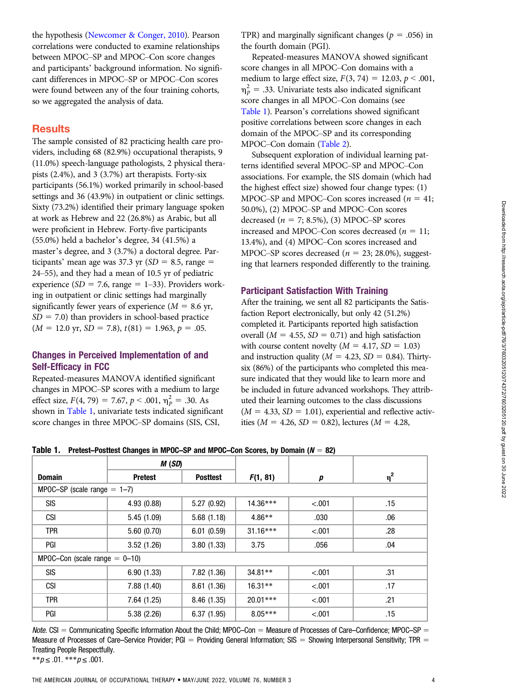the hypothesis [\(Newcomer & Conger, 2010](#page-7-0)). Pearson correlations were conducted to examine relationships between MPOC–SP and MPOC–Con score changes and participants' background information. No significant differences in MPOC–SP or MPOC–Con scores were found between any of the four training cohorts, so we aggregated the analysis of data.

## **Results**

The sample consisted of 82 practicing health care providers, including 68 (82.9%) occupational therapists, 9 (11.0%) speech-language pathologists, 2 physical therapists (2.4%), and 3 (3.7%) art therapists. Forty-six participants (56.1%) worked primarily in school-based settings and 36 (43.9%) in outpatient or clinic settings. Sixty (73.2%) identified their primary language spoken at work as Hebrew and 22 (26.8%) as Arabic, but all were proficient in Hebrew. Forty-five participants (55.0%) held a bachelor's degree, 34 (41.5%) a master's degree, and 3 (3.7%) a doctoral degree. Participants' mean age was 37.3 yr ( $SD = 8.5$ , range = 24–55), and they had a mean of 10.5 yr of pediatric experience ( $SD = 7.6$ , range = 1–33). Providers working in outpatient or clinic settings had marginally significantly fewer years of experience ( $M = 8.6$  yr,  $SD = 7.0$ ) than providers in school-based practice  $(M = 12.0 \text{ yr}, SD = 7.8), t(81) = 1.963, p = .05.$ 

## Changes in Perceived Implementation of and Self-Efficacy in FCC

Repeated-measures MANOVA identified significant changes in MPOC–SP scores with a medium to large effect size,  $F(4, 79) = 7.67$ ,  $p < .001$ ,  $\eta_p^2 = .30$ . As shown in [Table 1](#page-3-0), univariate tests indicated significant score changes in three MPOC–SP domains (SIS, CSI,

TPR) and marginally significant changes ( $p = .056$ ) in the fourth domain (PGI).

Repeated-measures MANOVA showed significant score changes in all MPOC–Con domains with a medium to large effect size,  $F(3, 74) = 12.03, p < .001,$  $\eta_p^2$  = .33. Univariate tests also indicated significant score changes in all MPOC–Con domains (see [Table 1\)](#page-3-0). Pearson's correlations showed significant positive correlations between score changes in each domain of the MPOC–SP and its corresponding MPOC–Con domain [\(Table 2](#page-4-0)).

Subsequent exploration of individual learning patterns identified several MPOC–SP and MPOC–Con associations. For example, the SIS domain (which had the highest effect size) showed four change types: (1) MPOC–SP and MPOC–Con scores increased ( $n = 41$ ; 50.0%), (2) MPOC–SP and MPOC–Con scores decreased ( $n = 7$ ; 8.5%), (3) MPOC–SP scores increased and MPOC–Con scores decreased ( $n = 11$ ; 13.4%), and (4) MPOC–Con scores increased and MPOC–SP scores decreased ( $n = 23$ ; 28.0%), suggesting that learners responded differently to the training.

#### Participant Satisfaction With Training

After the training, we sent all 82 participants the Satisfaction Report electronically, but only 42 (51.2%) completed it. Participants reported high satisfaction overall ( $M = 4.55$ ,  $SD = 0.71$ ) and high satisfaction with course content novelty  $(M = 4.17, SD = 1.03)$ and instruction quality ( $M = 4.23$ ,  $SD = 0.84$ ). Thirtysix (86%) of the participants who completed this measure indicated that they would like to learn more and be included in future advanced workshops. They attributed their learning outcomes to the class discussions  $(M = 4.33, SD = 1.01)$ , experiential and reflective activities ( $M = 4.26$ ,  $SD = 0.82$ ), lectures ( $M = 4.28$ ,

|                                    | M(SD)          |                 |            |         |          |  |  |  |  |
|------------------------------------|----------------|-----------------|------------|---------|----------|--|--|--|--|
| <b>Domain</b>                      | <b>Pretest</b> | <b>Posttest</b> | F(1, 81)   | p       | $\eta^2$ |  |  |  |  |
| MPOC-SP (scale range $= 1-7$ )     |                |                 |            |         |          |  |  |  |  |
| <b>SIS</b>                         | 4.93 (0.88)    | 5.27 (0.92)     | $14.36***$ | < .001  | .15      |  |  |  |  |
| <b>CSI</b>                         | 5.45 (1.09)    | 5.68(1.18)      | $4.86**$   | .030    | .06      |  |  |  |  |
| <b>TPR</b>                         | 5.60(0.70)     | 6.01(0.59)      | $31.16***$ | < .001  | .28      |  |  |  |  |
| PGI                                | 3.52(1.26)     | 3.80(1.33)      | 3.75       | .056    | .04      |  |  |  |  |
| MPOC-Con (scale range $= 0 - 10$ ) |                |                 |            |         |          |  |  |  |  |
| <b>SIS</b>                         | 6.90(1.33)     | 7.82(1.36)      | $34.81**$  | $-.001$ | .31      |  |  |  |  |
| <b>CSI</b>                         | 7.88(1.40)     | 8.61(1.36)      | $16.31**$  | $-.001$ | .17      |  |  |  |  |
| <b>TPR</b>                         | 7.64 (1.25)    | 8.46 (1.35)     | $20.01***$ | $-.001$ | .21      |  |  |  |  |
| PGI                                | 5.38 (2.26)    | 6.37(1.95)      | $8.05***$  | < .001  | .15      |  |  |  |  |

<span id="page-3-0"></span>Table 1. Pretest–Posttest Changes in MPOC–SP and MPOC–Con Scores, by Domain ( $N = 82$ )

Note. CSI = Communicating Specific Information About the Child; MPOC–Con = Measure of Processes of Care–Confidence; MPOC–SP = Measure of Processes of Care–Service Provider; PGI = Providing General Information; SIS = Showing Interpersonal Sensitivity; TPR = Treating People Respectfully.

\*\* $p \leq .01$ . \*\*\* $p \leq .001$ .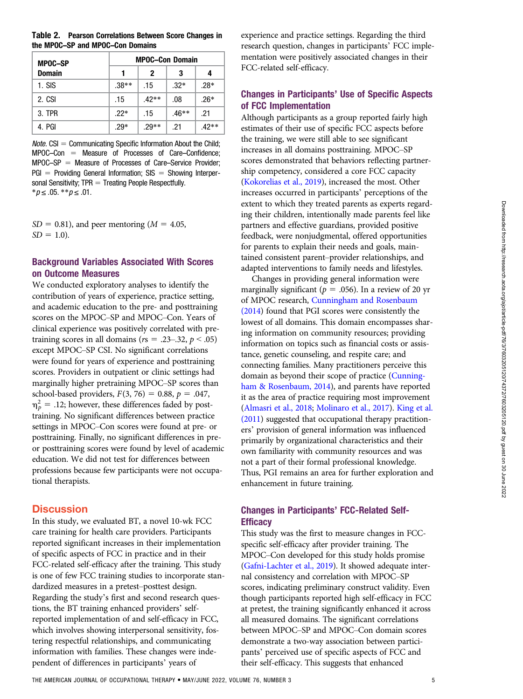#### <span id="page-4-0"></span>Table 2. Pearson Correlations Between Score Changes in the MPOC–SP and MPOC–Con Domains

| <b>MPOC-SP</b> | <b>MPOC-Con Domain</b> |         |         |         |  |  |
|----------------|------------------------|---------|---------|---------|--|--|
| <b>Domain</b>  | 1                      | 2       | 3       | 4       |  |  |
| $1.$ SIS       | $.38**$                | .15     | $.32*$  | $.28*$  |  |  |
| 2. CSI         | .15                    | $.42**$ | .08     | $.26*$  |  |  |
| 3. TPR         | $.22*$                 | .15     | $.46**$ | .21     |  |  |
| 4. PGI         | $.29*$                 | $.29**$ | .21     | $.42**$ |  |  |

*Note.*  $CSI =$  Communicating Specific Information About the Child;  $MPOC-Con = Measure of Processes of Care-Confidence;$  $MPOC-SP = Measure of Processes of Care–Service Providence;$  $PGI =$  Providing General Information;  $SIS =$  Showing Interpersonal Sensitivity;  $TPR = Treating People Respectfully$ .  $**p* ≤ .05. ***p* ≤ .01.$ 

 $SD = 0.81$ ), and peer mentoring ( $M = 4.05$ ,  $SD = 1.0$ ).

#### Background Variables Associated With Scores on Outcome Measures

We conducted exploratory analyses to identify the contribution of years of experience, practice setting, and academic education to the pre- and posttraining scores on the MPOC–SP and MPOC–Con. Years of clinical experience was positively correlated with pretraining scores in all domains ( $rs = .23-.32$ ,  $p < .05$ ) except MPOC–SP CSI. No significant correlations were found for years of experience and posttraining scores. Providers in outpatient or clinic settings had marginally higher pretraining MPOC–SP scores than school-based providers,  $F(3, 76) = 0.88$ ,  $p = .047$ ,  $\eta_p^2$  = .12; however, these differences faded by posttraining. No significant differences between practice settings in MPOC–Con scores were found at pre- or posttraining. Finally, no significant differences in preor posttraining scores were found by level of academic education. We did not test for differences between professions because few participants were not occupational therapists.

## **Discussion**

In this study, we evaluated BT, a novel 10-wk FCC care training for health care providers. Participants reported significant increases in their implementation of specific aspects of FCC in practice and in their FCC-related self-efficacy after the training. This study is one of few FCC training studies to incorporate standardized measures in a pretest–posttest design. Regarding the study's first and second research questions, the BT training enhanced providers' selfreported implementation of and self-efficacy in FCC, which involves showing interpersonal sensitivity, fostering respectful relationships, and communicating information with families. These changes were independent of differences in participants' years of

experience and practice settings. Regarding the third research question, changes in participants' FCC implementation were positively associated changes in their FCC-related self-efficacy.

## Changes in Participants' Use of Specific Aspects of FCC Implementation

Although participants as a group reported fairly high estimates of their use of specific FCC aspects before the training, we were still able to see significant increases in all domains posttraining. MPOC–SP scores demonstrated that behaviors reflecting partnership competency, considered a core FCC capacity [\(Kokorelias et al., 2019](#page-7-0)), increased the most. Other increases occurred in participants' perceptions of the extent to which they treated parents as experts regarding their children, intentionally made parents feel like partners and effective guardians, provided positive feedback, were nonjudgmental, offered opportunities for parents to explain their needs and goals, maintained consistent parent–provider relationships, and adapted interventions to family needs and lifestyles.

Changes in providing general information were marginally significant ( $p = .056$ ). In a review of 20 yr of MPOC research, [Cunningham and Rosenbaum](#page-6-0) [\(2014](#page-6-0)) found that PGI scores were consistently the lowest of all domains. This domain encompasses sharing information on community resources; providing information on topics such as financial costs or assistance, genetic counseling, and respite care; and connecting families. Many practitioners perceive this domain as beyond their scope of practice ([Cunning](#page-6-0)[ham & Rosenbaum, 2014\)](#page-6-0), and parents have reported it as the area of practice requiring most improvement [\(Almasri et al., 2018;](#page-6-0) [Molinaro et al., 2017](#page-7-0)). [King et al.](#page-7-0) [\(2011](#page-7-0)) suggested that occupational therapy practitioners' provision of general information was influenced primarily by organizational characteristics and their own familiarity with community resources and was not a part of their formal professional knowledge. Thus, PGI remains an area for further exploration and enhancement in future training.

## Changes in Participants' FCC-Related Self-**Efficacy**

This study was the first to measure changes in FCCspecific self-efficacy after provider training. The MPOC–Con developed for this study holds promise [\(Gafni-Lachter et al., 2019](#page-6-0)). It showed adequate internal consistency and correlation with MPOC–SP scores, indicating preliminary construct validity. Even though participants reported high self-efficacy in FCC at pretest, the training significantly enhanced it across all measured domains. The significant correlations between MPOC–SP and MPOC–Con domain scores demonstrate a two-way association between participants' perceived use of specific aspects of FCC and their self-efficacy. This suggests that enhanced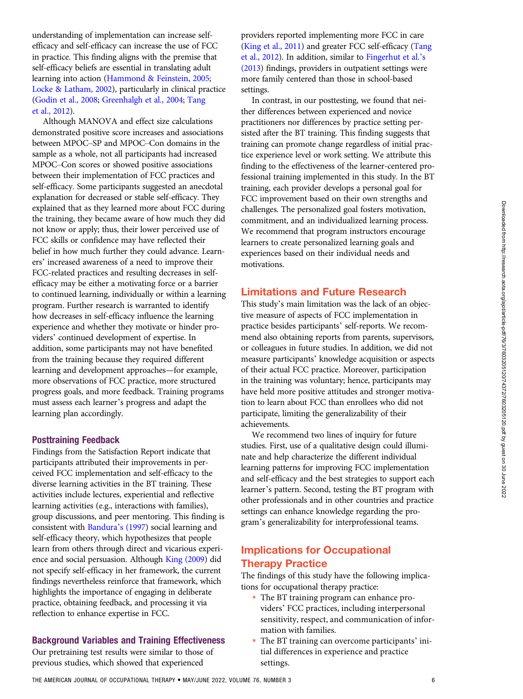understanding of implementation can increase selfefficacy and self-efficacy can increase the use of FCC in practice. This finding aligns with the premise that self-efficacy beliefs are essential in translating adult learning into action [\(Hammond & Feinstein, 2005](#page-6-0); [Locke & Latham, 2002](#page-7-0)), particularly in clinical practice [\(Godin et al., 2008](#page-6-0); [Greenhalgh et al., 2004](#page-6-0); [Tang](#page-7-0) [et al., 2012](#page-7-0)).

Although MANOVA and effect size calculations demonstrated positive score increases and associations between MPOC–SP and MPOC–Con domains in the sample as a whole, not all participants had increased MPOC–Con scores or showed positive associations between their implementation of FCC practices and self-efficacy. Some participants suggested an anecdotal explanation for decreased or stable self-efficacy. They explained that as they learned more about FCC during the training, they became aware of how much they did not know or apply; thus, their lower perceived use of FCC skills or confidence may have reflected their belief in how much further they could advance. Learners' increased awareness of a need to improve their FCC-related practices and resulting decreases in selfefficacy may be either a motivating force or a barrier to continued learning, individually or within a learning program. Further research is warranted to identify how decreases in self-efficacy influence the learning experience and whether they motivate or hinder providers' continued development of expertise. In addition, some participants may not have benefited from the training because they required different learning and development approaches—for example, more observations of FCC practice, more structured progress goals, and more feedback. Training programs must assess each learner's progress and adapt the learning plan accordingly.

#### Posttraining Feedback

Findings from the Satisfaction Report indicate that participants attributed their improvements in perceived FCC implementation and self-efficacy to the diverse learning activities in the BT training. These activities include lectures, experiential and reflective learning activities (e.g., interactions with families), group discussions, and peer mentoring. This finding is consistent with [Bandura](#page-6-0)'s (1997) social learning and self-efficacy theory, which hypothesizes that people learn from others through direct and vicarious experience and social persuasion. Although [King \(2009\)](#page-6-0) did not specify self-efficacy in her framework, the current findings nevertheless reinforce that framework, which highlights the importance of engaging in deliberate practice, obtaining feedback, and processing it via reflection to enhance expertise in FCC.

#### Background Variables and Training Effectiveness

Our pretraining test results were similar to those of previous studies, which showed that experienced

providers reported implementing more FCC in care [\(King et al., 2011\)](#page-7-0) and greater FCC self-efficacy ([Tang](#page-7-0) [et al., 2012\)](#page-7-0). In addition, similar to [Fingerhut et al.](#page-6-0)'s [\(2013](#page-6-0)) findings, providers in outpatient settings were more family centered than those in school-based settings.

In contrast, in our posttesting, we found that neither differences between experienced and novice practitioners nor differences by practice setting persisted after the BT training. This finding suggests that training can promote change regardless of initial practice experience level or work setting. We attribute this finding to the effectiveness of the learner-centered professional training implemented in this study. In the BT training, each provider develops a personal goal for FCC improvement based on their own strengths and challenges. The personalized goal fosters motivation, commitment, and an individualized learning process. We recommend that program instructors encourage learners to create personalized learning goals and experiences based on their individual needs and motivations.

#### Limitations and Future Research

This study's main limitation was the lack of an objective measure of aspects of FCC implementation in practice besides participants' self-reports. We recommend also obtaining reports from parents, supervisors, or colleagues in future studies. In addition, we did not measure participants' knowledge acquisition or aspects of their actual FCC practice. Moreover, participation in the training was voluntary; hence, participants may have held more positive attitudes and stronger motivation to learn about FCC than enrollees who did not participate, limiting the generalizability of their achievements.

We recommend two lines of inquiry for future studies. First, use of a qualitative design could illuminate and help characterize the different individual learning patterns for improving FCC implementation and self-efficacy and the best strategies to support each learner's pattern. Second, testing the BT program with other professionals and in other countries and practice settings can enhance knowledge regarding the program's generalizability for interprofessional teams.

# Implications for Occupational Therapy Practice

The findings of this study have the following implications for occupational therapy practice:

- The BT training program can enhance providers' FCC practices, including interpersonal sensitivity, respect, and communication of information with families.
- The BT training can overcome participants' initial differences in experience and practice settings.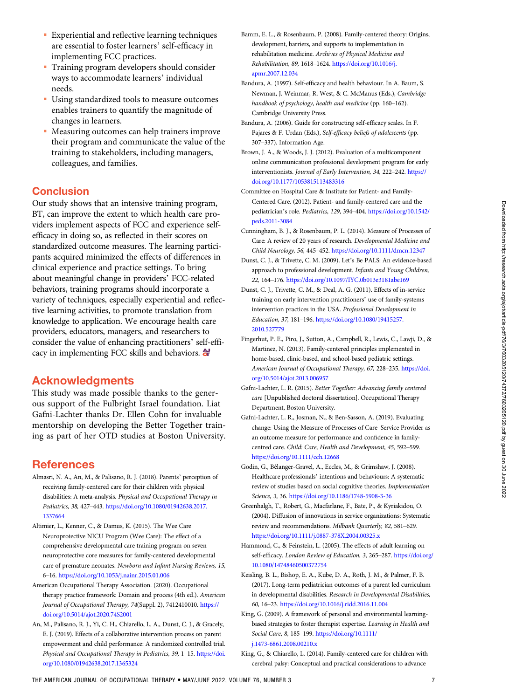- <span id="page-6-0"></span> Experiential and reflective learning techniques are essential to foster learners' self-efficacy in implementing FCC practices.
- Training program developers should consider ways to accommodate learners' individual needs.
- Using standardized tools to measure outcomes enables trainers to quantify the magnitude of changes in learners.
- Measuring outcomes can help trainers improve their program and communicate the value of the training to stakeholders, including managers, colleagues, and families.

## **Conclusion**

Our study shows that an intensive training program, BT, can improve the extent to which health care providers implement aspects of FCC and experience selfefficacy in doing so, as reflected in their scores on standardized outcome measures. The learning participants acquired minimized the effects of differences in clinical experience and practice settings. To bring about meaningful change in providers' FCC-related behaviors, training programs should incorporate a variety of techniques, especially experiential and reflective learning activities, to promote translation from knowledge to application. We encourage health care providers, educators, managers, and researchers to consider the value of enhancing practitioners' self-efficacy in implementing FCC skills and behaviors.  $\mathbf{\hat{a}}$ 

## Acknowledgments

This study was made possible thanks to the generous support of the Fulbright Israel foundation. Liat Gafni-Lachter thanks Dr. Ellen Cohn for invaluable mentorship on developing the Better Together training as part of her OTD studies at Boston University.

## **References**

- Almasri, N. A., An, M., & Palisano, R. J. (2018). Parents' perception of receiving family-centered care for their children with physical disabilities: A meta-analysis. Physical and Occupational Therapy in Pediatrics, 38, 427–443. [https://doi.org/10.1080/01942638.2017.](https://doi.org/10.1080/01942638.2017.1337664) [1337664](https://doi.org/10.1080/01942638.2017.1337664)
- Altimier, L., Kenner, C., & Damus, K. (2015). The Wee Care Neuroprotective NICU Program (Wee Care): The effect of a comprehensive developmental care training program on seven neuroprotective core measures for family-centered developmental care of premature neonates. Newborn and Infant Nursing Reviews, 15, 6–16. <https://doi.org/10.1053/j.nainr.2015.01.006>
- American Occupational Therapy Association. (2020). Occupational therapy practice framework: Domain and process (4th ed.). American Journal of Occupational Therapy, 74(Suppl. 2), 7412410010. [https://](https://doi.org/10.5014/ajot.2020.74S2001) [doi.org/10.5014/ajot.2020.74S2001](https://doi.org/10.5014/ajot.2020.74S2001)
- An, M., Palisano, R. J., Yi, C. H., Chiarello, L. A., Dunst, C. J., & Gracely, E. J. (2019). Effects of a collaborative intervention process on parent empowerment and child performance: A randomized controlled trial. Physical and Occupational Therapy in Pediatrics, 39, 1–15. [https://doi.](https://doi.org/10.1080/01942638.2017.1365324) [org/10.1080/01942638.2017.1365324](https://doi.org/10.1080/01942638.2017.1365324)
- Bamm, E. L., & Rosenbaum, P. (2008). Family-centered theory: Origins, development, barriers, and supports to implementation in rehabilitation medicine. Archives of Physical Medicine and Rehabilitation, 89, 1618–1624. [https://doi.org/10.1016/j.](https://doi.org/10.1016/j.apmr.2007.12.034) [apmr.2007.12.034](https://doi.org/10.1016/j.apmr.2007.12.034)
- Bandura, A. (1997). Self-efficacy and health behaviour. In A. Baum, S. Newman, J. Weinmar, R. West, & C. McManus (Eds.), Cambridge handbook of psychology, health and medicine (pp. 160–162). Cambridge University Press.
- Bandura, A. (2006). Guide for constructing self-efficacy scales. In F. Pajares & F. Urdan (Eds.), Self-efficacy beliefs of adolescents (pp. 307–337). Information Age.
- Brown, J. A., & Woods, J. J. (2012). Evaluation of a multicomponent online communication professional development program for early interventionists. Journal of Early Intervention, 34, 222–242. [https://](https://doi.org/10.1177/1053815113483316) [doi.org/10.1177/1053815113483316](https://doi.org/10.1177/1053815113483316)
- Committee on Hospital Care & Institute for Patient- and Family-Centered Care. (2012). Patient- and family-centered care and the pediatrician's role. Pediatrics, 129, 394–404. [https://doi.org/10.1542/](https://doi.org/10.1542/peds.2011-3084) [peds.2011-3084](https://doi.org/10.1542/peds.2011-3084)
- Cunningham, B. J., & Rosenbaum, P. L. (2014). Measure of Processes of Care: A review of 20 years of research. Developmental Medicine and Child Neurology, 56, 445–452. <https://doi.org/10.1111/dmcn.12347>
- Dunst, C. J., & Trivette, C. M. (2009). Let's Be PALS: An evidence-based approach to professional development. Infants and Young Children, 22, 164–176. <https://doi.org/10.1097/IYC.0b013e3181abe169>
- Dunst, C. J., Trivette, C. M., & Deal, A. G. (2011). Effects of in-service training on early intervention practitioners' use of family-systems intervention practices in the USA. Professional Development in Education, 37, 181–196. [https://doi.org/10.1080/19415257.](https://doi.org/10.1080/19415257.2010.527779) [2010.527779](https://doi.org/10.1080/19415257.2010.527779)
- Fingerhut, P. E., Piro, J., Sutton, A., Campbell, R., Lewis, C., Lawji, D., & Martinez, N. (2013). Family-centered principles implemented in home-based, clinic-based, and school-based pediatric settings. American Journal of Occupational Therapy, 67, 228–235. [https://doi.](https://doi.org/10.5014/ajot.2013.006957) [org/10.5014/ajot.2013.006957](https://doi.org/10.5014/ajot.2013.006957)
- Gafni-Lachter, L. R. (2015). Better Together: Advancing family centered care [Unpublished doctoral dissertation]. Occupational Therapy Department, Boston University.
- Gafni-Lachter, L. R., Josman, N., & Ben-Sasson, A. (2019). Evaluating change: Using the Measure of Processes of Care–Service Provider as an outcome measure for performance and confidence in familycentred care. Child: Care, Health and Development, 45, 592–599. <https://doi.org/10.1111/cch.12668>
- Godin, G., Bélanger-Gravel, A., Eccles, M., & Grimshaw, J. (2008). Healthcare professionals' intentions and behaviours: A systematic review of studies based on social cognitive theories. Implementation Science, 3, 36. <https://doi.org/10.1186/1748-5908-3-36>
- Greenhalgh, T., Robert, G., Macfarlane, F., Bate, P., & Kyriakidou, O. (2004). Diffusion of innovations in service organizations: Systematic review and recommendations. Milbank Quarterly, 82, 581–629. <https://doi.org/10.1111/j.0887-378X.2004.00325.x>
- Hammond, C., & Feinstein, L. (2005). The effects of adult learning on self-efficacy. London Review of Education, 3, 265-287. [https://doi.org/](https://doi.org/10.1080/14748460500372754) [10.1080/14748460500372754](https://doi.org/10.1080/14748460500372754)
- Keisling, B. L., Bishop, E. A., Kube, D. A., Roth, J. M., & Palmer, F. B. (2017). Long-term pediatrician outcomes of a parent led curriculum in developmental disabilities. Research in Developmental Disabilities, 60, 16–23. <https://doi.org/10.1016/j.ridd.2016.11.004>
- King, G. (2009). A framework of personal and environmental learningbased strategies to foster therapist expertise. Learning in Health and Social Care, 8, 185–199. [https://doi.org/10.1111/](https://doi.org/10.1111/j.1473-6861.2008.00210.x) [j.1473-6861.2008.00210.x](https://doi.org/10.1111/j.1473-6861.2008.00210.x)
- King, G., & Chiarello, L. (2014). Family-centered care for children with cerebral palsy: Conceptual and practical considerations to advance